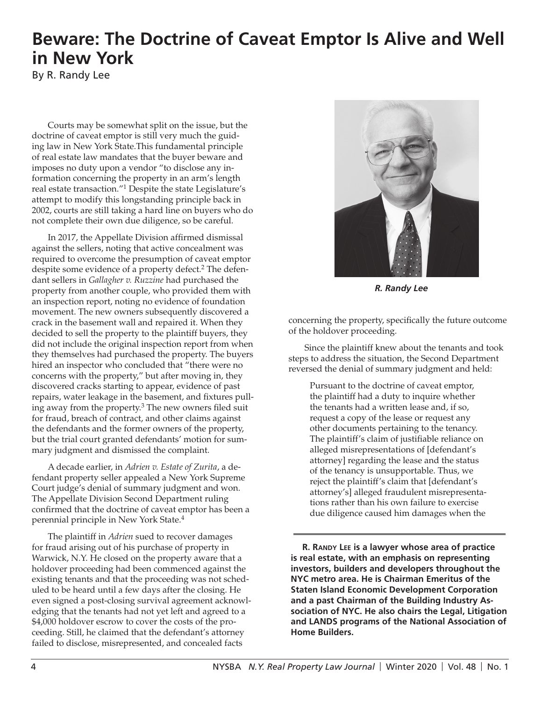## **Beware: The Doctrine of Caveat Emptor Is Alive and Well in New York**

By R. Randy Lee

Courts may be somewhat split on the issue, but the doctrine of caveat emptor is still very much the guiding law in New York State.This fundamental principle of real estate law mandates that the buyer beware and imposes no duty upon a vendor "to disclose any information concerning the property in an arm's length real estate transaction."1 Despite the state Legislature's attempt to modify this longstanding principle back in 2002, courts are still taking a hard line on buyers who do not complete their own due diligence, so be careful.

In 2017, the Appellate Division affirmed dismissal against the sellers, noting that active concealment was required to overcome the presumption of caveat emptor despite some evidence of a property defect.<sup>2</sup> The defendant sellers in *Gallagher v. Ruzzine* had purchased the property from another couple, who provided them with an inspection report, noting no evidence of foundation movement. The new owners subsequently discovered a crack in the basement wall and repaired it. When they decided to sell the property to the plaintiff buyers, they did not include the original inspection report from when they themselves had purchased the property. The buyers hired an inspector who concluded that "there were no concerns with the property," but after moving in, they discovered cracks starting to appear, evidence of past repairs, water leakage in the basement, and fixtures pulling away from the property.<sup>3</sup> The new owners filed suit for fraud, breach of contract, and other claims against the defendants and the former owners of the property, but the trial court granted defendants' motion for summary judgment and dismissed the complaint.

A decade earlier, in *Adrien v. Estate of Zurita*, a defendant property seller appealed a New York Supreme Court judge's denial of summary judgment and won. The Appellate Division Second Department ruling confirmed that the doctrine of caveat emptor has been a perennial principle in New York State.<sup>4</sup>

The plaintiff in *Adrien* sued to recover damages for fraud arising out of his purchase of property in Warwick, N.Y. He closed on the property aware that a holdover proceeding had been commenced against the existing tenants and that the proceeding was not scheduled to be heard until a few days after the closing. He even signed a post-closing survival agreement acknowledging that the tenants had not yet left and agreed to a \$4,000 holdover escrow to cover the costs of the proceeding. Still, he claimed that the defendant's attorney failed to disclose, misrepresented, and concealed facts



*R. Randy Lee*

concerning the property, specifically the future outcome of the holdover proceeding.

Since the plaintiff knew about the tenants and took steps to address the situation, the Second Department reversed the denial of summary judgment and held:

Pursuant to the doctrine of caveat emptor, the plaintiff had a duty to inquire whether the tenants had a written lease and, if so, request a copy of the lease or request any other documents pertaining to the tenancy. The plaintiff's claim of justifiable reliance on alleged misrepresentations of [defendant's attorney] regarding the lease and the status of the tenancy is unsupportable. Thus, we reject the plaintiff's claim that [defendant's attorney's] alleged fraudulent misrepresentations rather than his own failure to exercise due diligence caused him damages when the

**R. Randy Lee is a lawyer whose area of practice is real estate, with an emphasis on representing investors, builders and developers throughout the NYC metro area. He is Chairman Emeritus of the Staten Island Economic Development Corporation and a past Chairman of the Building Industry Association of NYC. He also chairs the Legal, Litigation and LANDS programs of the National Association of Home Builders.**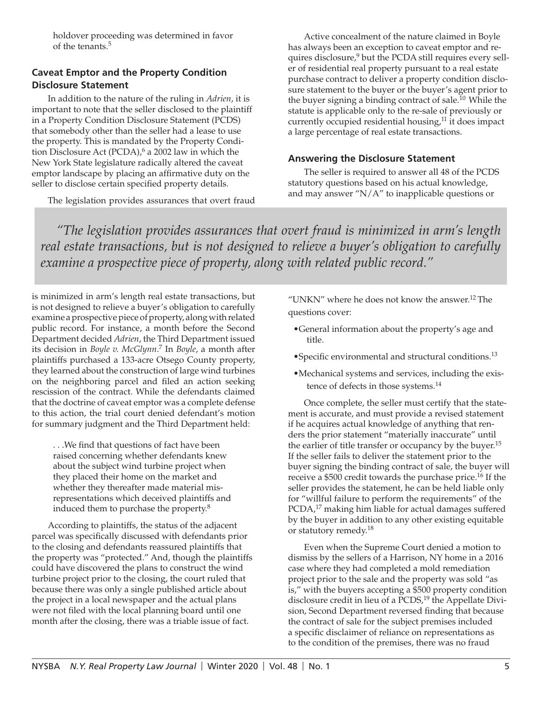holdover proceeding was determined in favor of the tenants.5

#### **Caveat Emptor and the Property Condition Disclosure Statement**

In addition to the nature of the ruling in *Adrien*, it is important to note that the seller disclosed to the plaintiff in a Property Condition Disclosure Statement (PCDS) that somebody other than the seller had a lease to use the property. This is mandated by the Property Condition Disclosure Act (PCDA), $6$  a 2002 law in which the New York State legislature radically altered the caveat emptor landscape by placing an affirmative duty on the seller to disclose certain specified property details.

The legislation provides assurances that overt fraud

Active concealment of the nature claimed in Boyle has always been an exception to caveat emptor and requires disclosure,<sup>9</sup> but the PCDA still requires every seller of residential real property pursuant to a real estate purchase contract to deliver a property condition disclosure statement to the buyer or the buyer's agent prior to the buyer signing a binding contract of sale.<sup>10</sup> While the statute is applicable only to the re-sale of previously or currently occupied residential housing,<sup>11</sup> it does impact a large percentage of real estate transactions.

#### **Answering the Disclosure Statement**

The seller is required to answer all 48 of the PCDS statutory questions based on his actual knowledge, and may answer "N/A" to inapplicable questions or

*"The legislation provides assurances that overt fraud is minimized in arm's length real estate transactions, but is not designed to relieve a buyer's obligation to carefully examine a prospective piece of property, along with related public record."* 

is minimized in arm's length real estate transactions, but is not designed to relieve a buyer's obligation to carefully examine a prospective piece of property, along with related public record. For instance, a month before the Second Department decided *Adrien*, the Third Department issued its decision in *Boyle v. McGlynn*. 7 In *Boyle*, a month after plaintiffs purchased a 133-acre Otsego County property, they learned about the construction of large wind turbines on the neighboring parcel and filed an action seeking rescission of the contract. While the defendants claimed that the doctrine of caveat emptor was a complete defense to this action, the trial court denied defendant's motion for summary judgment and the Third Department held:

. . .We find that questions of fact have been raised concerning whether defendants knew about the subject wind turbine project when they placed their home on the market and whether they thereafter made material misrepresentations which deceived plaintiffs and induced them to purchase the property.<sup>8</sup>

According to plaintiffs, the status of the adjacent parcel was specifically discussed with defendants prior to the closing and defendants reassured plaintiffs that the property was "protected." And, though the plaintiffs could have discovered the plans to construct the wind turbine project prior to the closing, the court ruled that because there was only a single published article about the project in a local newspaper and the actual plans were not filed with the local planning board until one month after the closing, there was a triable issue of fact.

"UNKN" where he does not know the answer.12 The questions cover:

- •General information about the property's age and title.
- •Specific environmental and structural conditions.<sup>13</sup>
- •Mechanical systems and services, including the existence of defects in those systems.<sup>14</sup>

Once complete, the seller must certify that the statement is accurate, and must provide a revised statement if he acquires actual knowledge of anything that renders the prior statement "materially inaccurate" until the earlier of title transfer or occupancy by the buyer.<sup>15</sup> If the seller fails to deliver the statement prior to the buyer signing the binding contract of sale, the buyer will receive a \$500 credit towards the purchase price.<sup>16</sup> If the seller provides the statement, he can be held liable only for "willful failure to perform the requirements" of the PCDA,<sup>17</sup> making him liable for actual damages suffered by the buyer in addition to any other existing equitable or statutory remedy.<sup>18</sup>

Even when the Supreme Court denied a motion to dismiss by the sellers of a Harrison, NY home in a 2016 case where they had completed a mold remediation project prior to the sale and the property was sold "as is," with the buyers accepting a \$500 property condition disclosure credit in lieu of a PCDS,<sup>19</sup> the Appellate Division, Second Department reversed finding that because the contract of sale for the subject premises included a specific disclaimer of reliance on representations as to the condition of the premises, there was no fraud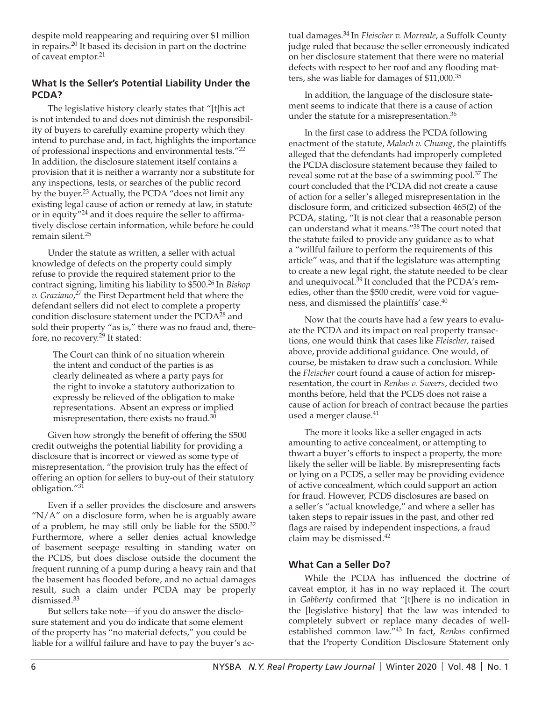despite mold reappearing and requiring over \$1 million in repairs.20 It based its decision in part on the doctrine of caveat emptor.<sup>21</sup>

#### **What Is the Seller's Potential Liability Under the PCDA?**

The legislative history clearly states that "[t]his act is not intended to and does not diminish the responsibility of buyers to carefully examine property which they intend to purchase and, in fact, highlights the importance of professional inspections and environmental tests."22 In addition, the disclosure statement itself contains a provision that it is neither a warranty nor a substitute for any inspections, tests, or searches of the public record by the buyer.<sup>23</sup> Actually, the PCDA "does not limit any existing legal cause of action or remedy at law, in statute or in equity"24 and it does require the seller to affirmatively disclose certain information, while before he could remain silent.25

Under the statute as written, a seller with actual knowledge of defects on the property could simply refuse to provide the required statement prior to the contract signing, limiting his liability to \$500.26 In *Bishop v. Graziano*, 27 the First Department held that where the defendant sellers did not elect to complete a property condition disclosure statement under the PCDA<sup>28</sup> and sold their property "as is," there was no fraud and, therefore, no recovery.<sup>29</sup> It stated:

The Court can think of no situation wherein the intent and conduct of the parties is as clearly delineated as where a party pays for the right to invoke a statutory authorization to expressly be relieved of the obligation to make representations. Absent an express or implied misrepresentation, there exists no fraud.<sup>30</sup>

Given how strongly the benefit of offering the \$500 credit outweighs the potential liability for providing a disclosure that is incorrect or viewed as some type of misrepresentation, "the provision truly has the effect of offering an option for sellers to buy-out of their statutory obligation."31

Even if a seller provides the disclosure and answers " $N/A$ " on a disclosure form, when he is arguably aware of a problem, he may still only be liable for the \$500.<sup>32</sup> Furthermore, where a seller denies actual knowledge of basement seepage resulting in standing water on the PCDS, but does disclose outside the document the frequent running of a pump during a heavy rain and that the basement has flooded before, and no actual damages result, such a claim under PCDA may be properly dismissed.<sup>33</sup>

But sellers take note—if you do answer the disclosure statement and you do indicate that some element of the property has "no material defects," you could be liable for a willful failure and have to pay the buyer's ac-

tual damages.34 In *Fleischer v. Morreale*, a Suffolk County judge ruled that because the seller erroneously indicated on her disclosure statement that there were no material defects with respect to her roof and any flooding matters, she was liable for damages of \$11,000.<sup>35</sup>

In addition, the language of the disclosure statement seems to indicate that there is a cause of action under the statute for a misrepresentation.<sup>36</sup>

In the first case to address the PCDA following enactment of the statute, *Malach v. Chuang*, the plaintiffs alleged that the defendants had improperly completed the PCDA disclosure statement because they failed to reveal some rot at the base of a swimming pool.<sup>37</sup> The court concluded that the PCDA did not create a cause of action for a seller's alleged misrepresentation in the disclosure form, and criticized subsection 465(2) of the PCDA, stating, "It is not clear that a reasonable person can understand what it means."38 The court noted that the statute failed to provide any guidance as to what a "willful failure to perform the requirements of this article" was, and that if the legislature was attempting to create a new legal right, the statute needed to be clear and unequivocal.<sup>39</sup> It concluded that the PCDA's remedies, other than the \$500 credit, were void for vagueness, and dismissed the plaintiffs' case.<sup>40</sup>

Now that the courts have had a few years to evaluate the PCDA and its impact on real property transactions, one would think that cases like *Fleischer,* raised above, provide additional guidance. One would, of course, be mistaken to draw such a conclusion. While the *Fleischer* court found a cause of action for misrepresentation, the court in *Renkas v. Sweers*, decided two months before, held that the PCDS does not raise a cause of action for breach of contract because the parties used a merger clause.<sup>41</sup>

The more it looks like a seller engaged in acts amounting to active concealment, or attempting to thwart a buyer's efforts to inspect a property, the more likely the seller will be liable. By misrepresenting facts or lying on a PCDS, a seller may be providing evidence of active concealment, which could support an action for fraud. However, PCDS disclosures are based on a seller's "actual knowledge," and where a seller has taken steps to repair issues in the past, and other red flags are raised by independent inspections, a fraud claim may be dismissed.42

#### **What Can a Seller Do?**

While the PCDA has influenced the doctrine of caveat emptor, it has in no way replaced it. The court in *Gabberty* confirmed that "[t]here is no indication in the [legislative history] that the law was intended to completely subvert or replace many decades of wellestablished common law."43 In fact, *Renkas* confirmed that the Property Condition Disclosure Statement only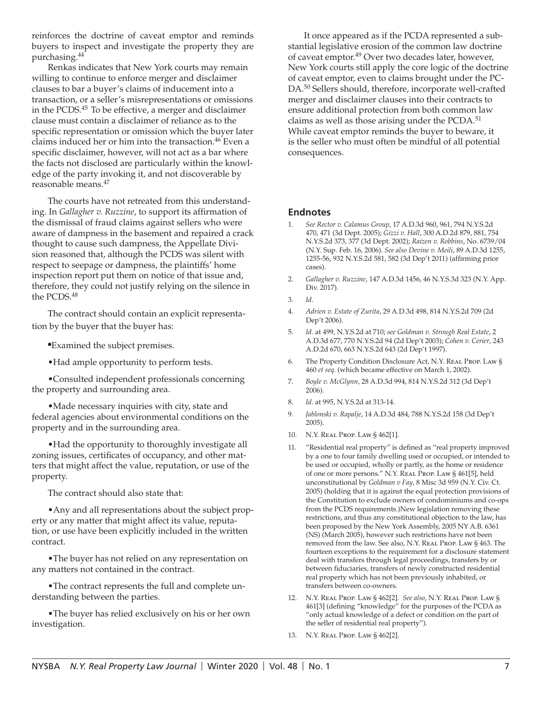reinforces the doctrine of caveat emptor and reminds buyers to inspect and investigate the property they are purchasing.44

Renkas indicates that New York courts may remain willing to continue to enforce merger and disclaimer clauses to bar a buyer's claims of inducement into a transaction, or a seller's misrepresentations or omissions in the PCDS.45 To be effective, a merger and disclaimer clause must contain a disclaimer of reliance as to the specific representation or omission which the buyer later claims induced her or him into the transaction.<sup>46</sup> Even a specific disclaimer, however, will not act as a bar where the facts not disclosed are particularly within the knowledge of the party invoking it, and not discoverable by reasonable means.<sup>47</sup>

The courts have not retreated from this understanding. In *Gallagher v. Ruzzine*, to support its affirmation of the dismissal of fraud claims against sellers who were aware of dampness in the basement and repaired a crack thought to cause such dampness, the Appellate Division reasoned that, although the PCDS was silent with respect to seepage or dampness, the plaintiffs' home inspection report put them on notice of that issue and, therefore, they could not justify relying on the silence in the PCDS.<sup>48</sup>

The contract should contain an explicit representation by the buyer that the buyer has:

•Examined the subject premises.

•Had ample opportunity to perform tests.

•Consulted independent professionals concerning the property and surrounding area.

•Made necessary inquiries with city, state and federal agencies about environmental conditions on the property and in the surrounding area.

•Had the opportunity to thoroughly investigate all zoning issues, certificates of occupancy, and other matters that might affect the value, reputation, or use of the property.

The contract should also state that:

•Any and all representations about the subject property or any matter that might affect its value, reputation, or use have been explicitly included in the written contract.

•The buyer has not relied on any representation on any matters not contained in the contract.

•The contract represents the full and complete understanding between the parties.

•The buyer has relied exclusively on his or her own investigation.

It once appeared as if the PCDA represented a substantial legislative erosion of the common law doctrine of caveat emptor.49 Over two decades later, however, New York courts still apply the core logic of the doctrine of caveat emptor, even to claims brought under the PC-DA.50 Sellers should, therefore, incorporate well-crafted merger and disclaimer clauses into their contracts to ensure additional protection from both common law claims as well as those arising under the PCDA.<sup>51</sup> While caveat emptor reminds the buyer to beware, it is the seller who must often be mindful of all potential consequences.

#### **Endnotes**

- 1. *See Rector v. Calamus Group*, 17 A.D.3d 960, 961, 794 N.Y.S.2d 470, 471 (3d Dept. 2005); *Gizzi v. Hall*, 300 A.D.2d 879, 881, 754 N.Y.S.2d 373, 377 (3d Dept. 2002); *Raizen v. Robbins*, No. 6739/04 (N.Y. Sup. Feb. 16, 2006). *See also Devine v. Meili*, 89 A.D.3d 1255, 1255-56, 932 N.Y.S.2d 581, 582 (3d Dep't 2011) (affirming prior cases).
- 2. *Gallagher v. Ruzzine*, 147 A.D.3d 1456, 46 N.Y.S.3d 323 (N.Y. App. Div. 2017).
- 3. *Id.*
- 4. *Adrien v. Estate of Zurita*, 29 A.D.3d 498, 814 N.Y.S.2d 709 (2d Dep't 2006).
- 5. *Id.* at 499, N.Y.S.2d at 710; *see Goldman v. Strough Real Estate*, 2 A.D.3d 677, 770 N.Y.S.2d 94 (2d Dep't 2003); *Cohen v. Cerier*, 243 A.D.2d 670, 663 N.Y.S.2d 643 (2d Dep't 1997).
- 6. The Property Condition Disclosure Act, N.Y. REAL PROP. LAW § 460 *et seq*. (which became effective on March 1, 2002).
- 7. *Boyle v. McGlynn*, 28 A.D.3d 994, 814 N.Y.S.2d 312 (3d Dep't 2006).
- 8. *Id.* at 995, N.Y.S.2d at 313-14.
- 9. *Jablonski v. Rapalje*, 14 A.D.3d 484, 788 N.Y.S.2d 158 (3d Dep't 2005).
- 10. N.Y. Real Prop. Law § 462[1].
- 11. "Residential real property" is defined as "real property improved by a one to four family dwelling used or occupied, or intended to be used or occupied, wholly or partly, as the home or residence of one or more persons." N.Y. Real Prop. Law § 461[5], held unconstitutional by *Goldman v Fay*, 8 Misc 3d 959 (N.Y. Civ. Ct. 2005) (holding that it is against the equal protection provisions of the Constitution to exclude owners of condominiums and co-ops from the PCDS requirements.)New legislation removing these restrictions, and thus any constitutional objection to the law, has been proposed by the New York Assembly, 2005 NY A.B. 6361 (NS) (March 2005), however such restrictions have not been removed from the law. See also, N.Y. REAL PROP. LAW § 463. The fourteen exceptions to the requirement for a disclosure statement deal with transfers through legal proceedings, transfers by or between fiduciaries, transfers of newly constructed residential real property which has not been previously inhabited, or transfers between co-owners.
- 12. N.Y. Real Prop. Law § 462[2]. *See also*, N.Y. Real Prop. Law § 461[3] (defining "knowledge" for the purposes of the PCDA as "only actual knowledge of a defect or condition on the part of the seller of residential real property").
- 13. N.Y. Real Prop. Law § 462[2].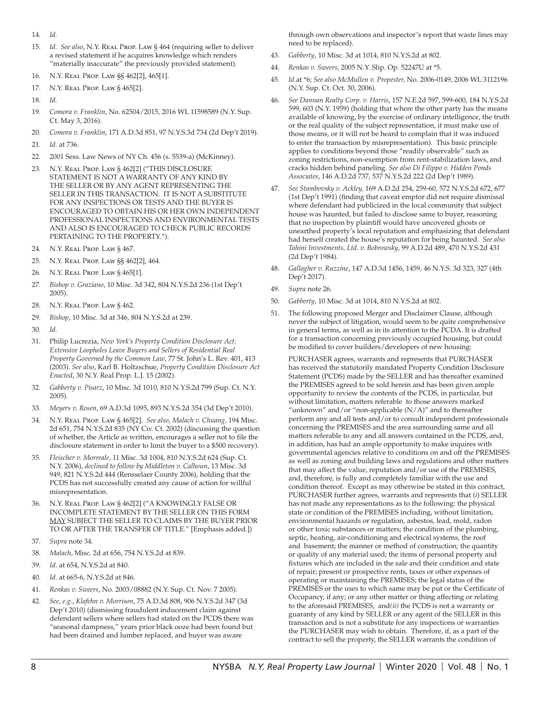- 14. *Id.*
- 15. *Id. See also*, N.Y. Real Prop. Law § 464 (requiring seller to deliver a revised statement if he acquires knowledge which renders "materially inaccurate" the previously provided statement).
- 16. N.Y. Real Prop. Law §§ 462[2], 465[1].
- 17. N.Y. Real Prop. Law § 465[2].
- 18. *Id.*
- 19. *Comora v. Franklin*, No. 62504/2015, 2016 WL 11598589 (N.Y. Sup. Ct. May 3, 2016).
- 20. *Comora v. Franklin*, 171 A.D.3d 851, 97 N.Y.S.3d 734 (2d Dep't 2019).
- 21. *Id.* at 736.
- 22. 2001 Sess. Law News of NY Ch. 456 (s. 5539-a) (McKinney).
- 23. N.Y. Real Prop. Law § 462[2] ("THIS DISCLOSURE STATEMENT IS NOT A WARRANTY OF ANY KIND BY THE SELLER OR BY ANY AGENT REPRESENTING THE SELLER IN THIS TRANSACTION. IT IS NOT A SUBSTITUTE FOR ANY INSPECTIONS OR TESTS AND THE BUYER IS ENCOURAGED TO OBTAIN HIS OR HER OWN INDEPENDENT PROFESSIONAL INSPECTIONS AND ENVIRONMENTAL TESTS AND ALSO IS ENCOURAGED TO CHECK PUBLIC RECORDS PERTAINING TO THE PROPERTY.").
- 24. N.Y. Real Prop. Law § 467.
- 25. N.Y. Real Prop. Law §§ 462[2], 464.
- 26. N.Y. Real Prop. Law § 465[1].
- 27. *Bishop v. Graziano*, 10 Misc. 3d 342, 804 N.Y.S.2d 236 (1st Dep't 2005).
- 28. N.Y. Real Prop. Law § 462.
- 29. *Bishop*, 10 Misc. 3d at 346, 804 N.Y.S.2d at 239.
- 30. *Id.*
- 31. Philip Lucrezia, *New York's Property Condition Disclosure Act: Extensive Loopholes Leave Buyers and Sellers of Residential Real Property Governed by the Common Law*, 77 St. John's L. Rev. 401, 413 (2003). *See also*, Karl B. Holtzschue, *Property Condition Disclosure Act Enacted*, 30 N.Y. Real Prop. L.J. 15 (2002).
- 32. *Gabberty v. Pisarz*, 10 Misc. 3d 1010, 810 N.Y.S.2d 799 (Sup. Ct. N.Y. 2005).
- 33. *Meyers v. Rosen*, 69 A.D.3d 1095, 893 N.Y.S.2d 354 (3d Dep't 2010).
- 34. N.Y. Real Prop. Law § 465[2]. *See also*, *Malach v. Chuang*, 194 Misc. 2d 651, 754 N.Y.S.2d 835 (NY Civ. Ct. 2002) (discussing the question of whether, the Article as written, encourages a seller not to file the disclosure statement in order to limit the buyer to a \$500 recovery).
- 35. *Fleischer v. Morreale*, 11 Misc. 3d 1004, 810 N.Y.S.2d 624 (Sup. Ct. N.Y. 2006), *declined to follow by Middleton v. Calhoun*, 13 Misc. 3d 949, 821 N.Y.S.2d 444 (Rensselaer County 2006), holding that the PCDS has not successfully created any cause of action for willful misrepresentation.
- 36. N.Y. Real Prop. Law § 462[2] ("A KNOWINGLY FALSE OR INCOMPLETE STATEMENT BY THE SELLER ON THIS FORM MAY SUBJECT THE SELLER TO CLAIMS BY THE BUYER PRIOR TO OR AFTER THE TRANSFER OF TITLE." [Emphasis added.])
- 37. *Supra* note 34.
- 38. *Malach*, Misc. 2d at 656, 754 N.Y.S.2d at 839.
- 39. *Id.* at 654, N.Y.S.2d at 840.
- 40. *Id.* at 665-6, N.Y.S.2d at 846.
- 41. *Renkas v. Sweers*, No. 2003/08882 (N.Y. Sup. Ct. Nov. 7 2005).
- 42. *See, e.g.*, *Klafehn v. Morrison*, 75 A.D.3d 808, 906 N.Y.S.2d 347 (3d Dep't 2010) (dismissing fraudulent inducement claim against defendant sellers where sellers had stated on the PCDS there was "seasonal dampness," years prior black ooze had been found but had been drained and lumber replaced, and buyer was aware

through own observations and inspector's report that waste lines may need to be replaced).

- 43. *Gabberty*, 10 Misc. 3d at 1014, 810 N.Y.S.2d at 802.
- 44. *Renkas v. Sweers*, 2005 N.Y. Slip. Op. 52247U at \*5.
- 45. *Id.*at \*6; *See also McMullen v. Propester,* No. 2006-0149, 2006 WL 3112196 (N.Y. Sup. Ct. Oct. 30, 2006).
- 46. *See Dannan Realty Corp. v. Harris*, 157 N.E.2d 597, 599-600, 184 N.Y.S.2d 599, 603 (N.Y. 1959) (holding that where the other party has the means available of knowing, by the exercise of ordinary intelligence, the truth or the real quality of the subject representation, it must make use of those means, or it will not be heard to complain that it was induced to enter the transaction by misrepresentation). This basic principle applies to conditions beyond those "readily observable" such as zoning restrictions, non-exemption from rent-stabilization laws, and cracks hidden behind paneling. *See also Di Filippo v. Hidden Ponds Associates*, 146 A.D.2d 737, 537 N.Y.S.2d 222 (2d Dep't 1989).
- 47. *See Stambovsky v. Ackley,* 169 A.D.2d 254, 259-60, 572 N.Y.S.2d 672, 677 (1st Dep't 1991) (finding that caveat emptor did not require dismissal where defendant had publicized in the local community that subject house was haunted, but failed to disclose same to buyer, reasoning that no inspection by plaintiff would have uncovered ghosts or unearthed property's local reputation and emphasizing that defendant had herself created the house's reputation for being haunted. *See also Tahini Investments, Ltd. v. Bobrowsky*, 99 A.D.2d 489, 470 N.Y.S.2d 431 (2d Dep't 1984).
- 48. *Gallagher v. Ruzzine*, 147 A.D.3d 1456, 1459, 46 N.Y.S. 3d 323, 327 (4th Dep't 2017).
- 49. *Supra* note 26.
- 50. *Gabberty*, 10 Misc. 3d at 1014, 810 N.Y.S.2d at 802.
- 51. The following proposed Merger and Disclaimer Clause, although never the subject of litigation, would seem to be quite comprehensive in general terms, as well as in its attention to the PCDA. It is drafted for a transaction concerning previously occupied housing, but could be modified to cover builders/developers of new housing:

PURCHASER agrees, warrants and represents that PURCHASER has received the statutorily mandated Property Condition Disclosure Statement (PCDS) made by the SELLER and has thereafter examined the PREMISES agreed to be sold herein and has been given ample opportunity to review the contents of the PCDS, in particular, but without limitation, matters referable to those answers marked "unknown" and/or "non-applicable  $(N/A)$ " and to thereafter perform any and all tests and/or to consult independent professionals concerning the PREMISES and the area surrounding same and all matters referable to any and all answers contained in the PCDS, and, in addition, has had an ample opportunity to make inquires with governmental agencies relative to conditions on and off the PREMISES as well as zoning and building laws and regulations and other matters that may affect the value, reputation and/or use of the PREMISES, and, therefore, is fully and completely familiar with the use and condition thereof. Except as may otherwise be stated in this contract, PURCHASER further agrees, warrants and represents that (*i*) SELLER has not made any representations as to the following: the physical state or condition of the PREMISES including, without limitation, environmental hazards or regulation, asbestos, lead, mold, radon or other toxic substances or matters; the condition of the plumbing, septic, heating, air-conditioning and electrical systems, the roof and basement; the manner or method of construction; the quantity or quality of any material used; the items of personal property and fixtures which are included in the sale and their condition and state of repair; present or prospective rents, taxes or other expenses of operating or maintaining the PREMISES; the legal status of the PREMISES or the uses to which same may be put or the Certificate of Occupancy, if any; or any other matter or thing affecting or relating to the aforesaid PREMISES, and*(ii)* the PCDS is not a warranty or guaranty of any kind by SELLER or any agent of the SELLER in this transaction and is not a substitute for any inspections or warranties the PURCHASER may wish to obtain. Therefore, if, as a part of the contract to sell the property, the SELLER warrants the condition of